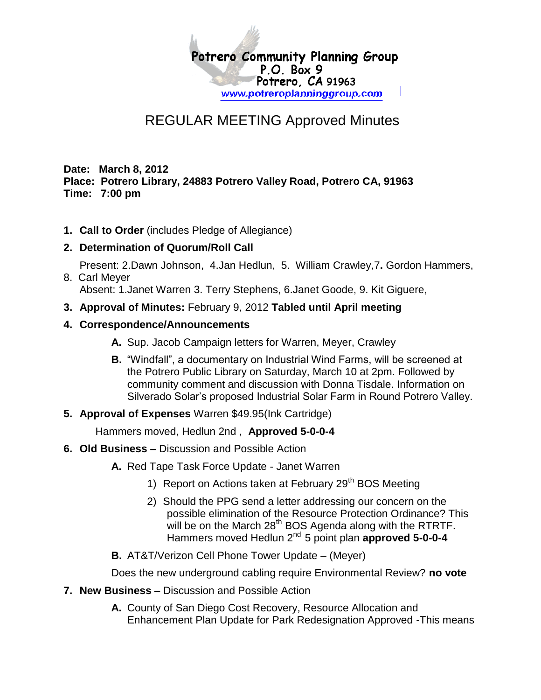

## REGULAR MEETING Approved Minutes

**Date: March 8, 2012 Place: Potrero Library, 24883 Potrero Valley Road, Potrero CA, 91963 Time: 7:00 pm**

**1. Call to Order** (includes Pledge of Allegiance)

## **2. Determination of Quorum/Roll Call**

Present: 2.Dawn Johnson, 4.Jan Hedlun, 5. William Crawley,7**.** Gordon Hammers, 8. Carl Meyer

Absent: 1.Janet Warren 3. Terry Stephens, 6.Janet Goode, 9. Kit Giguere,

**3. Approval of Minutes:** February 9, 2012 **Tabled until April meeting**

## **4. Correspondence/Announcements**

- **A.** Sup. Jacob Campaign letters for Warren, Meyer, Crawley
- **B.** "Windfall", a documentary on Industrial Wind Farms, will be screened at the Potrero Public Library on Saturday, March 10 at 2pm. Followed by community comment and discussion with Donna Tisdale. Information on Silverado Solar's proposed Industrial Solar Farm in Round Potrero Valley.
- **5. Approval of Expenses** Warren \$49.95(Ink Cartridge)

Hammers moved, Hedlun 2nd , **Approved 5-0-0-4**

- **6. Old Business –** Discussion and Possible Action
	- **A.** Red Tape Task Force Update Janet Warren
		- 1) Report on Actions taken at February 29<sup>th</sup> BOS Meeting
		- 2) Should the PPG send a letter addressing our concern on the possible elimination of the Resource Protection Ordinance? This will be on the March  $28<sup>th</sup>$  BOS Agenda along with the RTRTF. Hammers moved Hedlun 2nd 5 point plan **approved 5-0-0-4**
	- **B.** AT&T/Verizon Cell Phone Tower Update (Meyer)

Does the new underground cabling require Environmental Review? **no vote**

- **7. New Business –** Discussion and Possible Action
	- **A.** County of San Diego Cost Recovery, Resource Allocation and Enhancement Plan Update for Park Redesignation Approved -This means